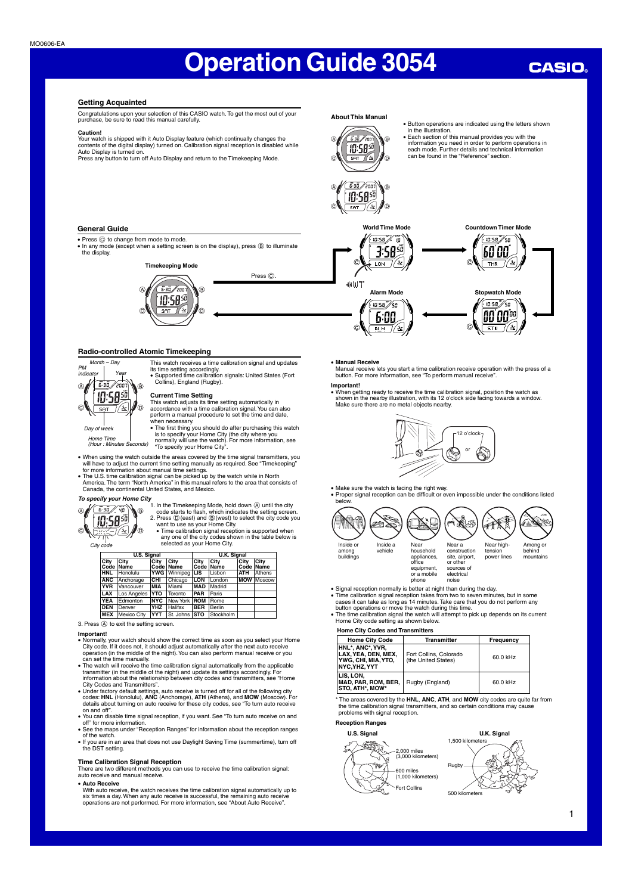## **CASIO**

## **Getting Acquainted**

Congratulations upon your selection of this CASIO watch. To get the most out of your purchase, be sure to read this manual carefully.

### **Caution!**

Your watch is shipped with it Auto Display feature (which continually changes the<br>contents of the digital display) turned on. Calibration signal reception is disabled while<br>Auto Display is turned on.<br>Press any button to tu

## **About This Manual**



• Button operations are indicated using the letters shown in the illustration. • Each section of this manual provides you with the

information you need in order to perform operations in each mode. Further details and technical information

can be found in the "Reference" section.

▲ **Countdown Timer Mode**

 $TMR$ 

 $\frac{10.58}{50}$ 

00 00%

 $570$ 

▲



▲

**+WT** 

**World Time Mode**

‴.<br>10 :0:58°, **3:5850**  $T_{\rm DM}$ 

 $\mathcal{U}$  $10:58$ 

6:00 ∖ें स∟¤्

**General Guide**

● Press ⓒ to change from mode to mode.<br>● In any mode (except when a setting screen is on the display), press ⑤ to illuminate<br>← the display.



## **Radio-controlled Atomic Timekeeping**



**Current Time Setting**<br>This watch adjusts its time setting automatically in<br>accordance with a time calibration signal. You can also<br>perform a manual procedure to set the time and date, when necessary.

This watch receives a time calibration signal and updates its time setting accordingly. • Supported time calibration signals: United States (Fort Collins), England (Rugby).

Press  $\circledcirc$ 

Home Time (Hour : Minutes Seconds)

• The first thing you should do after purchasing this watch is to specify your Home City (the city where you normally will use the watch). For more information, see "To specify your Home City".

• When using the watch outside the areas covered by the time signal transmitters, you<br>will have to adjust the current time setting manually as required. See "Timekeeping"<br>of more information about manual time settings.<br>• T



To specify your Home City<br>  $\begin{pmatrix} \sqrt{6.35} \\ \sqrt{11.59}} \\ \sqrt{11.596} \\ \sqrt{11.596} \\ \sqrt{11.596} \\ \sqrt{11.596} \\ \sqrt{11.596} \\ \sqrt{11.596} \\ \sqrt{11.596} \\ \sqrt{11.596} \\ \sqrt{11.596} \\ \sqrt{11.596} \\ \sqrt{11.596} \\ \sqrt{11.596} \\ \sqrt{11.596} \\ \sqrt{11.596} \\ \sqrt{11.596} \\ \sqrt{$ 

selected as your Home City.<br>Selected as your Home City.

|            | <b>U.S. Signal</b> |            |                           |            | <b>U.K. Signal</b> |            |                          |  |
|------------|--------------------|------------|---------------------------|------------|--------------------|------------|--------------------------|--|
| City       | City<br>Code Name  | City       | City<br>Code Name         | City       | City<br>Code Name  | City       | <b>City</b><br>Code Name |  |
| <b>HNL</b> | <b>Honolulu</b>    |            | <b>YWG</b> Winnipeg   LIS |            | Lisbon             | <b>ATH</b> | Athens                   |  |
| <b>ANC</b> | Anchorage          | CHI        | Chicago                   | LON        | London             |            | <b>MOW Moscow</b>        |  |
| <b>YVR</b> | Vancouver          | <b>MIA</b> | Miami                     | <b>MAD</b> | Madrid             |            |                          |  |
| LAX        | Los Angeles        | <b>YTO</b> | Toronto                   | PAR        | Paris              |            |                          |  |
| <b>YEA</b> | Edmonton           | <b>NYC</b> | New York ROM              |            | Rome               |            |                          |  |
| <b>DEN</b> | Denver             | <b>YHZ</b> | Halifax                   | <b>BER</b> | <b>Berlin</b>      |            |                          |  |
| <b>MEX</b> | Mexico City        | <b>YYT</b> | St. Johns STO             |            | Stockholm          |            |                          |  |

3. Press (A) to exit the setting screen.

- Important!<br>• Normally, your watch should show the correct time as soon as you select your Home<br>• City code. If it does not, it should adjust automatically after the next auto receive<br>• operation (in the middle of the night
- can set the time manually. • The watch will receive the time calibration signal automatically from the applicable
- transmitter (in the middle of the night) and update its settings accordingly. For<br>information about the relationship between city codes and transmitters, see "Home<br>City Codes and Transmitters".<br>• Under factory default sett on and off".
- You can disable time signal reception, if you want. See "To turn auto receive on and
- off" for more information.<br>• See the maps under "Reception Ranges" for information about the reception ranges<br>• If you are in an area that does not use Daylight Saving Time (summertime), turn off<br>• If you are in an area th
- 

## **Time Calibration Signal Reception**

There are two different methods you can use to receive the time calibration signal: auto receive and manual receive.

• **Auto Receive** With auto receive, the watch receives the time calibration signal automatically up to six times a day. When any auto receive is successful, the remaining auto receive operations are not performed. For more information, see "About Auto Receive".

### • **Manual Receive**

Manual receive lets you start a time calibration receive operation with the press of a button. For more information, see "To perform manual receive".

▲

**Alarm Mode Stopwatch Mode**

â

- **Important!**
	- When getting ready to receive the time calibration signal, position the watch as shown in the nearby illustration, with its 12 o'clock side facing towards a window. Make sure there are no metal objects nearby.





• Make sure the watch is facing the right way.

• Proper signal reception can be difficult or even impossible under the conditions listed belo



- 
- ∙ Signal reception normally is better at night than during the day.<br>◆ Time calibration signal reception takes from two to seven minutes, but in some<br>← cases it can take as long as 14 minutes. Take care that you do not pe button operations or move the watch during this time.
- The time calibration signal the watch will attempt to pick up depends on its current Home City code setting as shown below.

## **Home City Codes and Transmitters**

| <b>Home City Code</b>                                                         | <b>Transmitter</b>                            | Frequency |
|-------------------------------------------------------------------------------|-----------------------------------------------|-----------|
| HNL*, ANC*, YVR,<br>LAX. YEA. DEN. MEX.<br>YWG, CHI, MIA, YTO,<br>NYC.YHZ.YYT | Fort Collins, Colorado<br>(the United States) | 60.0 kHz  |
| LIS, LON,<br>MAD, PAR, ROM, BER,<br><b>STO. ATH*. MOW*</b>                    | Rugby (England)                               | 60.0 kHz  |

\* The areas covered by the **HNL**, **ANC**, **ATH**, and **MOW** city codes are quite far from the time calibration signal transmitters, and so certain conditions may cause problems with signal reception.

**Reception Ranges**



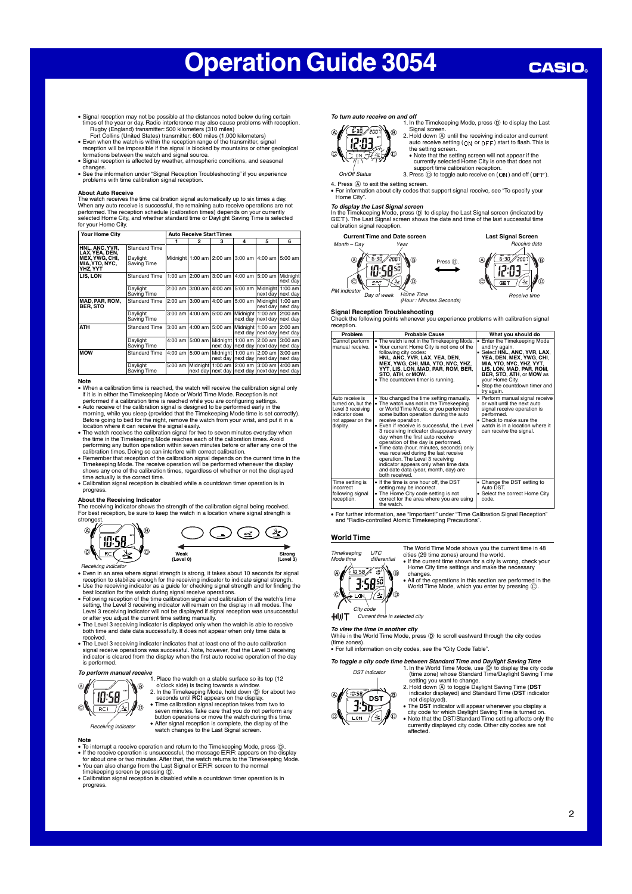## **CASIO**

- Signal reception may not be possible at the distances noted below during certain times of the year or day. Radio interference may also cause problems with reception. Rugby (England) transmitter: 500 kilometers (310 miles) Fort Collins (United States) transmitter: 600 miles (1,000 kilometers)
- 
- Even when the watch is within the reception range of the transmitter, signal<br>reception will be impossible if the signal is blocked by mountains or other geological<br>formations between the watch and signal source.<br>Signal r
- changes. • See the information under "Signal Reception Troubleshooting" if you experience problems with time calibration signal reception.

About Auto Receive<br>The watch receives the time calibration signal automatically up to six times a day.<br>When any auto receive is successful, the remaining auto receive operations are not<br>performed. The reception schedule (c for your Home City.

| Your Home City                                                                  | <b>Auto Receive Start Times</b>                 |                   |   |                                                                                                            |                     |           |
|---------------------------------------------------------------------------------|-------------------------------------------------|-------------------|---|------------------------------------------------------------------------------------------------------------|---------------------|-----------|
|                                                                                 |                                                 | $\mathbf{2}$      | 3 | 4                                                                                                          | 5                   | 6         |
| HNL. ANC. YVR.<br>LAX. YEA. DEN.<br>MEX.YWG. CHI.<br>MIA, YTO, NYC,<br>YHZ, YYT | <b>Standard Time</b><br>Daylight<br>Saving Time |                   |   | Midnight   1:00 am   2:00 am   3:00 am   4:00 am                                                           |                     | $5:00$ am |
| LIS. LON                                                                        | <b>Standard Time</b>                            |                   |   | 1:00 am 2:00 am 3:00 am 4:00 am 15:00 am Midnight                                                          |                     | next day  |
|                                                                                 | Daylight<br>Saving Time                         |                   |   | 2:00 am 3:00 am 3:00 am 5:00 am Midnight 1:00 am                                                           | next day   next day |           |
| <b>MAD. PAR. ROM.</b><br><b>BER. STO</b>                                        | <b>Standard Time</b>                            |                   |   | 2:00 am 3:00 am 4:00 am 5:00 am Midnight 1:00 am                                                           | next day next day   |           |
|                                                                                 | Daylight<br>Saving Time                         | 3:00 am 4:00 am l |   | 5:00 am Midnight 1:00 am 2:00 am<br>next day                                                               | next day next day   |           |
| <b>ATH</b>                                                                      | <b>Standard Time</b>                            |                   |   | 3:00 am 4:00 am 5:00 am Midnight 1:00 am 2:00 am<br>next dav                                               | next day next day   |           |
|                                                                                 | Daylight<br>Saving Time                         |                   |   | 4:00 am 15:00 am   Midnight   1:00 am 12:00 am 13:00 am<br>next day   next day   next day   next day       |                     |           |
| <b>MOW</b>                                                                      | <b>Standard Time</b>                            | 4:00 am 5:00 am   |   | Midnight 1:00 am 2:00 am 3:00 am<br>next day next day next day next day                                    |                     |           |
|                                                                                 | Daylight<br>Saving Time                         |                   |   | 5:00 am   Midnight   1:00 am   2:00 am   3:00 am   4:00 am<br>next day next day next day next day next day |                     |           |

**Note**<br>• When a calibration time is reached, the watch will receive the calibration signal only<br>· if it is in either the Timekeeping Mode or World Time Mode. Reception is not

- performed if a calibration time is reached while you are configuring settings.<br>
Adto receive of the calibration signal is designed to be performed early in the<br>
morning, while you sleep (provided that the Timekeeping Mode
- 
- performing any button operation within seven minutes before or after any one of the<br>calibration times. Doing so can interfere with correct calibration.<br>• Remember that reception of the calibration signal depends on the cur
- time actually is the correct time. Calibration signal reception is disabled while a countdown timer operation is in progress.

**About the Receiving Indicator**<br>The receiving indicator shows the strength of the calibration signal being received.<br>For best reception, be sure to keep the watch in a location where signal strength is stronge

4



- 
- Feceiving indicator<br>
 Even in an area where signal strength is strong, it takes about 10 seconds for signal<br>
 Even in an area where signal strength for the receiving indicator to indicate signal strength.<br>
 Use the rece
- or after you adjust the current time setting manually.<br>● The Level 3 receiving indicator is displayed only when the watch is able to receive<br>both time and date data successfully. It does not appear when only time data is
- 
- received.<br>• The Level 3 receiving indicator indicates that at least one of the auto calibration<br>signal receive operations was successful. Note, however, that the Level 3 receiving<br>indicator is cleared from the display when is performed.



## **Note**

- To interrupt a receive operation and return to the Timekeeping Mode, press  $\circled{0}$ .<br>• If the receive operation is unsuccessful, the message EFR: appears on the display<br>for about one or two minutes. After that, the watc
- 
- progress.

Fh l 缁

൹

 $\blacktriangleright$  $\supset$  ON

 $\frac{1}{6.30}/2001$ 

 $\widehat{A}$ 

**To turn auto receive on and off**<br>1. In the Timekeeping Mode, press ① to display the Last  $\circledR$ 



support time calibration reception

On/Off Status 3. Press (b) to toggle auto receive on ( CN) and off ( CFF).

4. Press  $\textcircled{A}$  to exit the setting screen. • For information about city codes that support signal receive, see "To specify your Home City".

> Press <sup>(D)</sup>.<br>◆ ▲

*To display the Last Signal screen*<br>In the Timekeeping Mode, press ⓪ to display the Last Signal screen (indicated by<br>'SET ). The Last Signal screen shows the date and time of the last successful time<br>calibration signal re

**Current Time and Date screen**  $\mathsf{v}_e$ Month – Day  $\overline{5}$ -30 $\overline{2}$ ar **10:5850** 

PM indicator

C ∖॑॑



Day of week Home Time function Seconds)

⋒

**Signal Reception Troubleshooting** Check the following points whenever you experience problems with calibration signal reception.

| Problem                                                                                                       | <b>Probable Cause</b>                                                                                                                                                                                                                                                                                                                                                                                                                                                                                                                                                                  | What you should do                                                                                                                                                                                                                                                |
|---------------------------------------------------------------------------------------------------------------|----------------------------------------------------------------------------------------------------------------------------------------------------------------------------------------------------------------------------------------------------------------------------------------------------------------------------------------------------------------------------------------------------------------------------------------------------------------------------------------------------------------------------------------------------------------------------------------|-------------------------------------------------------------------------------------------------------------------------------------------------------------------------------------------------------------------------------------------------------------------|
| Cannot perform<br>manual receive.                                                                             | . The watch is not in the Timekeeping Mode.<br>• Your current Home City is not one of the<br>following city codes:<br>HNL, ANC, YVR, LAX, YEA, DEN,<br>MEX, YWG, CHI, MIA, YTO, NYC, YHZ,<br>YYT, LIS, LON, MAD, PAR, ROM, BER,<br>STO, ATH, or MOW.<br>• The countdown timer is running.                                                                                                                                                                                                                                                                                              | • Enter the Timekeeping Mode<br>and try again.<br>• Select HNL, ANC, YVR, LAX,<br>YEA, DEN, MEX, YWG, CHI,<br>MIA, YTO, NYC, YHZ, YYT,<br>LIS, LON, MAD, PAR, ROM,<br>BER, STO, ATH, or MOW as<br>your Home City.<br>• Stop the countdown timer and<br>try again. |
| Auto receive is<br>turned on, but the<br>Level 3 receiving<br>indicator does<br>not appear on the<br>display. | . You changed the time setting manually.<br>• The watch was not in the Timekeeping<br>or World Time Mode, or you performed<br>some button operation during the auto<br>receive operation.<br>• Even if receive is successful, the Level<br>3 receiving indicator disappears every<br>day when the first auto receive<br>operation of the day is performed.<br>• Time data (hour, minutes, seconds) only<br>was received during the last receive<br>operation. The Level 3 receiving<br>indicator appears only when time data<br>and date data (year, month, day) are<br>both received. | · Perform manual signal receive<br>or wait until the next auto<br>signal receive operation is<br>performed.<br>• Check to make sure the<br>watch is in a location where it<br>can receive the signal.                                                             |
| Time setting is<br>incorrect<br>following signal<br>reception.                                                | • If the time is one hour off, the DST<br>setting may be incorrect.<br>• The Home City code setting is not<br>correct for the area where you are using<br>the watch.                                                                                                                                                                                                                                                                                                                                                                                                                   | • Change the DST setting to<br>Auto DST.<br>• Select the correct Home City<br>code.                                                                                                                                                                               |

• For further information, see "Important!" under "Time Calibration Signal Reception" and "Radio-controlled Atomic Timekeeping Precautions".

### **World Time**

**Strong (Level 3)**

 $\circledcirc$ 

(په



The World Time Mode shows you the current time in 48 cities (29 time zones) around the world. • If the current time shown for a city is wrong, check your Home City time settings and make the necessary

changes. • All of the operations in this section are performed in the World Time Mode, which you enter by pressing C.

**HUT** Current time in selected city

**To view the time in another city** While in the World Time Mode, press D to scroll eastward through the city codes (time zones).

• For full information on city codes, see the "City Code Table".

**To toggle a city code time between Standard Time and Daylight Saving Time**



1. In the World Time Mode, use  $\overline{D}$  to display the city code (time zone) whose Standard Time/Daylight Saving Time

setting you want to change.<br>
2. Hold down ( $\overline{A}$ ) to toggle Daylight Saving Time (**DST**<br>
indicator displayed) and Standard Time (**DST** indicator<br>
not displayed).<br>
The **DST** indicator will appear whenever you display a<br>

currently displayed city code. Other city codes are not affected.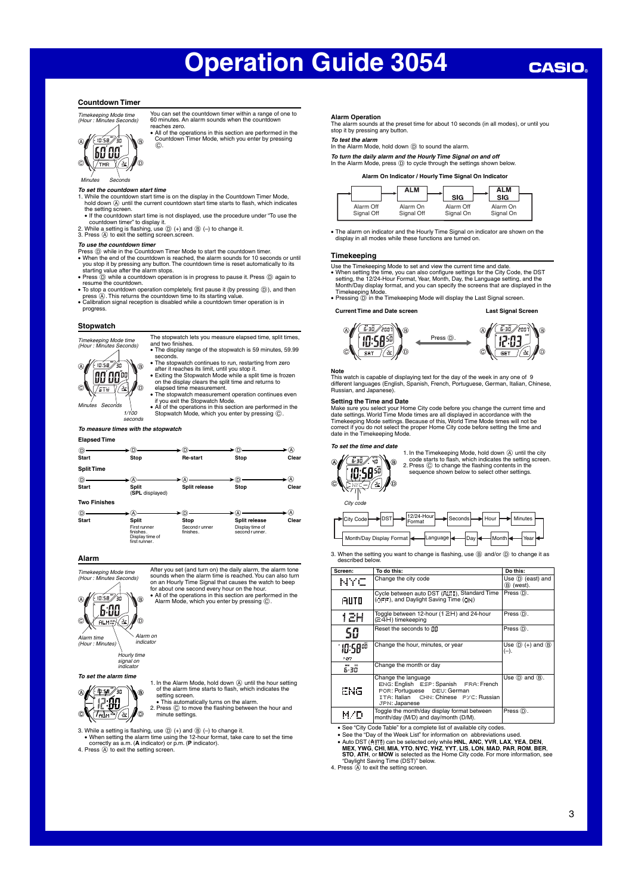## **CASIO**

## **Countdown Timer**



You can set the countdown timer within a range of one to 60 minutes. An alarm sounds when the countd reaches zero.

• All of the operations in this section are performed in the Countdown Timer Mode, which you enter by pressing  $\tilde{c}$ 

## Minutes Seconds

- **To set the countdown start time** 1. While the countdown start time is on the display in the Countdown Timer Mode, hold down  $\textcircled{A}$  until the current countdown start time starts to flash, which indicates the setting screen.
- If the countdown start time is not displayed, use the procedure under "To use the
- countdown timer" to display it. 2. While a setting is flashing, use D (+) and B (–) to change it. 3. Press A to exit the setting screen.screen.

## **To use the countdown timer**

- 
- 
- Press  $\widehat{\mathfrak{G}}$  while in the Countdown Timer Mode to start the countdown timer.<br>• When the end of the countdown is reached, the alarm sounds for 10 seconds or until<br>you stop it by pressing any button. The countdown time
- resume the countdown.
- To stop a countdown operation completely, first pause it (by pressing ⑥), and then<br>• press ⑧. This returns the countdown time to its starting value.<br>• Calibration signal reception is disabled while a countdown timer ope
- progress.

### **Stopwatch**



and two finishes. • The display range of the stopwatch is 59 minutes, 59.99 seconds.

The stopwatch lets you measure elapsed time, split times,

- The stopwatch continues to run, restarting from zero after it reaches its limit, until you stop it. Exiting the Stopwatch Mode while a split time is frozen on the display clears the split time and returns to
- elapsed time measurement. • The stopwatch measurement operation continues even if you exit the Stopwatch Mode.
- All of the operations in this section are performed in the 1/100 Stopwatch Mode, which you enter by pressing  $\circled{c}$ .
- seconds

## **To measure times with the stopwatch**

| <b>Elapsed Time</b> |                                 |                             |                                   |               |
|---------------------|---------------------------------|-----------------------------|-----------------------------------|---------------|
|                     | Ω                               | D.                          |                                   | (A)           |
| <b>Start</b>        | Stop                            | Re-start                    | Stop                              | Clear         |
| <b>Split Time</b>   |                                 |                             |                                   |               |
| O)                  |                                 |                             |                                   | (A)           |
| <b>Start</b>        | <b>Split</b><br>(SPL displayed) | Split release               | Stop                              | Clear         |
| <b>Two Finishes</b> |                                 |                             |                                   |               |
| D)                  | Ά                               |                             |                                   | $\mathcal{D}$ |
| <b>Start</b>        | <b>Split</b>                    | Stop                        | Split release                     | Clear         |
|                     | First runner<br>finishes.       | Second r unner<br>finishes. | Display time of<br>second runner. |               |

**Alarm**

Alarm time (Hour : Minutes)

 $\overline{c}$ 

**To set the alarm time**

 $\mathbb P$ **like** 

Timekeeping Mode time (Hour : Minutes Seconds)  $6.00$ **ALM** ⊻

> Hourly time signal on indicator

Alarm on <sub>indicato</sub>

finishes. Display time of first runner.

After you set (and turn on) the daily alarm, the alarm tone sounds when the alarm time is reached. You can also turn on an Hourly Time Signal that causes the watch to beep<br>for about one second every hour on the hour.<br>• All of the operations in this section are performed in the<br>Alarm Mode, which you enter by pressing  $\copyright$ .

1. In the Alarm Mode, hold down  $\overline{A}$  until the hour setting of the alarm time starts to flash, which indicates the  $\hat{a}$ 

setting screen. • This automatically turns on the alarm.

l l l l<br>K l l l 2. Press C to move the flashing between the hour and minute settings. ക

3. While a setting is flashing, use D (+) and B (–) to change it. • When setting the alarm time using the 12-hour format, take care to set the time

correctly as a.m. (**A** indicator) or p.m. (**P** indicator). 4. Press (A) to exit the setting screen

### **Alarm Operation**

The alarm sounds at the preset time for about 10 seconds (in all modes), or until you stop it by pressing any button.

**To test the alarm** In the Alarm Mode, hold down D to sound the alarm.

**To turn the daily alarm and the Hourly Time Signal on and off** In the Alarm Mode, press D to cycle through the settings shown below.

**Alarm On Indicator / Hourly Time Signal On Indicator**



• The alarm on indicator and the Hourly Time Signal on indicator are shown on the display in all modes while these functions are turned on.

### **Timekeeping**

- 
- 
- Use the Timekeeping Mode to set and view the current time and date.<br>• When setting the time, you can also configure settings for the City Code, the DST<br>• When setting, the 12/24-Hour Format, Year, Month, Day, the Language Timekeeping Mode. • Pressing D in the Timekeeping Mode will display the Last Signal screen.

**Current Time and Date screen Last Signal Screen**



This watch is capable of displaying text for the day of the week in any one of 9 different languages (English, Spanish, French, Portuguese, German, Italian, Chinese, Russian, and Japanese).

**Note**

**Setting the Time and Date**<br>Make sure you select your Home City code before you change the current time and<br>date settings. World Time Mode times are all displayed in accordance with the<br>Timekeeping Mode settings. Because o date in the Timekeeping Mode

## **To set the time and date**



1. In the Timekeeping Mode, hold down  $\overline{A}$  until the city<br>code starts to flash, which indicates the setting screen.<br>2. Press  $\overline{C}$  to change the flashing contents in the<br>sequence shown below to select other settings

| $\rightarrow$ $\sqrt{\frac{12}{24}}$ -Hourl<br>Seconds Hour He Minutes<br>►ldstl-<br>City Code |
|------------------------------------------------------------------------------------------------|
|                                                                                                |

3. When the setting you want to change is flashing, use  $@$  and/or  $@$  to change it as described below.

| Screen:                     | To do this:                                                                                                                                            | Do this:                                            |
|-----------------------------|--------------------------------------------------------------------------------------------------------------------------------------------------------|-----------------------------------------------------|
| NYC                         | Change the city code                                                                                                                                   | Use (D) (east) and<br>(B) (west).                   |
| AUTO                        | Cycle between auto DST (FUTD), Standard Time<br>(OFF), and Daylight Saving Time (ON)                                                                   | Press (D).                                          |
| 1 Z.H                       | Toggle between 12-hour (1 ⊇H) and 24-hour<br>(24H) timekeeping                                                                                         | Press (D).                                          |
| 50                          | Reset the seconds to 00                                                                                                                                | Press (D).                                          |
| 10:58 <sup>00</sup><br>7.87 | Change the hour, minutes, or year                                                                                                                      | Use $(\mathbb{D})$ (+) and $(\mathbb{B})$<br>$(-).$ |
| MM DD<br>5-30               | Change the month or day                                                                                                                                |                                                     |
| ENG.                        | Change the language<br>ENG: English ESP: Spanish FRA: French<br>POR: Portuguese DEU: German<br>ITA: Italian CHN: Chinese PYC: Russian<br>JPN: Japanese | Use $(D)$ and $(B)$ .                               |
| M/D                         | Toggle the month/day display format between<br>month/day (M/D) and day/month (D/M).                                                                    | Press (D).                                          |

• See "City Code Table" for a complete list of available city codes.

∙ See the "Day of the Week List" for information on abbreviations used.<br>• Auto DST (Al]T]) can be selected only while HNL, ANC, YVR, LAX, YEA, DEN,<br>• MEX, YWG, CHI, MIA, YTO, NYC, YHZ, YYT, LIS, LON, MAD, PAR, ROM, BER, **STO**, **ATH**, or **MOW** is selected as the Home City code. For more information, see

"Daylight Saving Time (DST)" below. 4. Press A to exit the setting screen.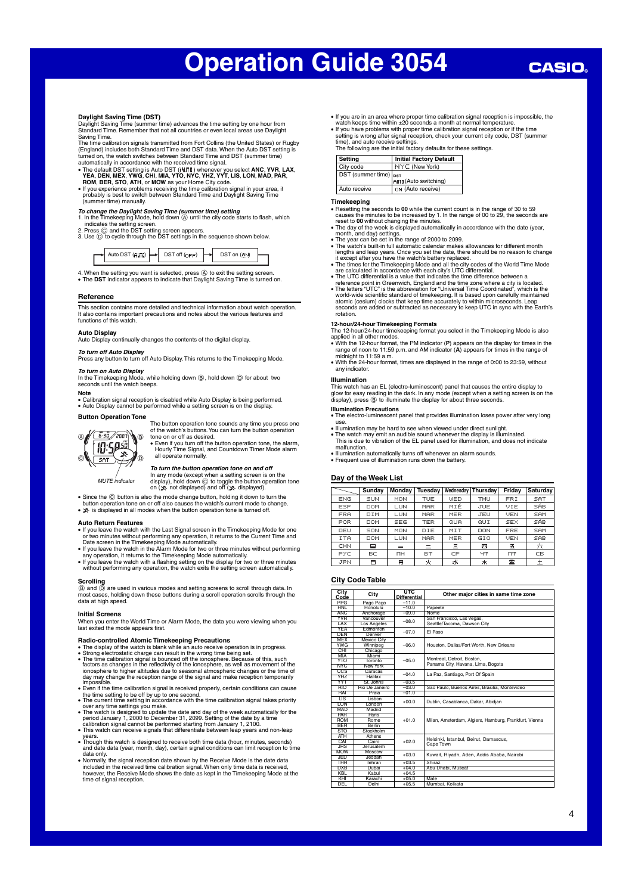### **Daylight Saving Time (DST)**

Daylight Saving Time (summer time) advances the time setting by one hour from Standard Time. Remember that not all countries or even local areas use Daylight Saving Time.

The time calibration signals transmitted from Fort Collins (the United States) or Rugby (England) includes both Standard Time and DST data. When the Auto DST setting is turned on, the watch switches between Standard Time and DST (summer time)

- automatically in accordance with the received time signal.<br>• The default DST setting is Auto DST ( $\overline{H}$ )[10] whenever you select ANC, YVR, LAX, YEA, DEN, MEX, YWG, CHI, MIA, YTO, NYC, YHZ, YYT, LIS, LON, MAD, PAR, ROM,
- 

To *change the Daylight Saving Time (summer time) setting*<br>1. In the Timekeeping Mode, hold down ④ until the city code starts to flash, which<br>2. Press ⓒ and the DST setting screen.<br>2. Dress ⓒ and the DST settings in the s

| Auto DST $(HIII)$ $\rightarrow$ | $DST$ off $(11T)$ |  | $DST$ on $($ <sub>1</sub> , |  |
|---------------------------------|-------------------|--|-----------------------------|--|
|---------------------------------|-------------------|--|-----------------------------|--|

4. When the setting you want is selected, press  $@$  to exit the setting screen.<br>• The DST indicator appears to indicate that Daylight Saving Time is turned on.

### **Reference**

This section contains more detailed and technical information about watch operation. It also contains important precautions and notes about the various features and functions of this watch.

**Auto Display** Auto Display continually changes the contents of the digital display.

**To turn off Auto Display** Press any button to turn off Auto Display. This returns to the Timekeeping Mode.

**To t***urn on Auto Display*<br>In the Timekeeping Mode, while holding down ⑧, hold down ⑨ for about two<br>seconds until the watch beeps.

**Note** • Calibration signal reception is disabled while Auto Display is being performed. • Auto Display cannot be performed while a setting screen is on the display.

## **Button Operation Tone**



The button operation tone sounds any time you press one of the watch's buttons. You can turn the button operation tone on or off as desired. • Even if you turn off the button operation tone, the alarm, Hourly Time Signal, and Countdown Timer Mode alarm all operate normally.

**To turn the button operation tone on and off** MUTE indicator

In any mode (except when a setting screen is on the<br>display), hold down ⓒ to toggle the button operation tone<br>on (�� not displayed) and off (父 displayed).

- 
- Since the  $@$  button is also the mode change button, holding it down to turn the button operation tone on or off also causes the watch's current mode to change.<br>•  $\blacktriangleright$  is displayed in all modes when the button operat
- 

- Auto Return Features<br>
of Myou leave the watch with the Last Signal screen in the Timekeeping Mode for one<br>
or two minutes without performing any operation, it returns to the Current Time and<br>
Date screen in the Timekeeping
- 
- If you leave the watch with a flashing setting on the display for two or three minutes without performing any operation, the watch exits the setting screen automatically.

## **Scrolling**

ି (®) and ① are used in various modes and setting screens to scroll through data. In<br>most cases, holding down these buttons during a scroll operation scrolls through the<br>data at high speed.

## **Initial Screens**

When you enter the World Time or Alarm Mode, the data you were viewing when you last exited the mode appears first.

- 
- **Radio-controlled Atomic Timekeeping Precautions**<br>
 The display of the watch is blank while an auto receive operation is in progress.<br>
 Strong electrostatic charge can result in the wrong time being set.<br>
 The time cali
- 
- 
- Even if the time calibration signal is received properly, certain conditions can cause<br>the time setting to be off by up to one second.<br>• The current time setting in accordance with the time calibration signal takes prior
- 
- years. Though this watch is designed to receive both time data (hour, minutes, seconds) and date data (year, month, day), certain signal conditions can limit reception to time data only. • Normally, the signal reception date shown by the Receive Mode is the date data
- included in the received time calibration signal. When only time data is received, however, the Receive Mode shows the date as kept in the Timekeeping Mode at the time of signal reception.

• If you are in an area where proper time calibration signal reception is impossible, the watch keeps time within ±20 seconds a month at normal temperature.<br>• If you have problems with proper time calibration signal recept

| I he following are the initial factory defaults for these s |                         |  |  |  |  |
|-------------------------------------------------------------|-------------------------|--|--|--|--|
| Setting                                                     | Initial Factory Default |  |  |  |  |
| City code                                                   | NYC (New York)          |  |  |  |  |

| City code             | <b>NYC</b> (New York)        |
|-----------------------|------------------------------|
| DST (summer time) pst |                              |
|                       | <b>AUTO</b> (Auto switching) |
| Auto receive          | ON (Auto receive)            |

## **Timekeeping**

- Resetting the seconds to **00** while the current count is in the range of 30 to 59 causes the minutes to be increased by 1. In the range of 00 to 29, the seconds are
- reset to **00** without changing the minutes.<br>The day of the week is displayed automatically in accordance with the date (year,
- 
- 
- 
- 
- The day of the week is displayed automatically in accordance with the date (year,<br>
 The year can be set in the range of 2000 to 2099.<br>
 The year can be set in the range of 2000 to 2099.<br>
 The watchs built-in full aut

12-hour/24-hour Timekeeping Formats<br>The 12-hour/24-hour timekeeping format you select in the Timekeeping Mode is also<br>• With the 12-hour format, the PM indicator (P) appears on the display for times in the<br>• With the 12-ho

- midnight to 11:59 a.m. With the 24-hour format, times are displayed in the range of 0:00 to 23:59, without
- any indicator.

### **Illumination**

This watch has an EL (electro-luminescent) panel that causes the entire display to<br>glow for easy reading in the dark. In any mode (except when a setting screen is on the<br>display), press ③ to illuminate the display for abou

**Illumination Precautions** • The electro-luminescent panel that provides illumination loses power after very long

- use.
- Illumination may be hard to see when viewed under direct sunlight.<br>• The watch may emit an audible sound whenever the display is illuminated.<br>• This is due to vibration of the EL panel used for illumination, and does not
- malfunction.
- Illumination automatically turns off whenever an alarm sounds.
- Frequent use of illumination runs down the battery.

## **Day of the Week List**

|      | Sunday | Monday     | Tuesdav    | Wednesday  | Thursdav | Friday     | <b>Saturdav</b> |
|------|--------|------------|------------|------------|----------|------------|-----------------|
| ENG  | SUN    | MON        | TUE        | WED        | THU      | FRI        | <b>SAT</b>      |
| ESP  | DOM    | LUN        | MAR        | MIÉ        | JUE      | VIE        | SÁB.            |
| FRA  | DIM    | LUN        | MAR        | <b>MER</b> | JEU      | VEN        | <b>SAM</b>      |
| POR  | DOM    | <b>SEG</b> | <b>TER</b> | QUA        | QUI      | <b>SEX</b> | sée.            |
| DEU  | SON    | MON        | DIE        | MIT        | DON      | <b>FRE</b> | <b>SAM</b>      |
| ITA  | DOM    | LUN        | MAR        | <b>MER</b> | GIO      | VEN        | <b>SAB</b>      |
| CHN  | Е      |            | $=$        | Ξ          | 囜        | 五          | 六               |
| PYC. | BC.    | ΠН         | BT         | CP         | ЧТ       | ПТ         | CE              |
| JPN  | Ξ      | 月          | 臾          | ж          | 木        | 霊          | ᆂ               |

## **City Code Table**

| City<br>Code      | City            | UTC.<br><b>Differential</b> | Other major cities in same time zone                  |  |  |  |
|-------------------|-----------------|-----------------------------|-------------------------------------------------------|--|--|--|
| <b>PPG</b>        | Pago Pago       | $-11.0$                     |                                                       |  |  |  |
| <b>HNL</b>        | Honolulu        | $-10.0$                     | Papeete                                               |  |  |  |
| ANC <sub></sub>   | Anchorage       | $-09.0$                     | Nome                                                  |  |  |  |
| <b>YVR</b>        | Vancouver       | $-08.0$                     | San Francisco, Las Vegas,                             |  |  |  |
| LAX               | Los Angeles     |                             | Seattle/Tacoma, Dawson City                           |  |  |  |
| <b>YEA</b>        | <b>Edmonton</b> | $-07.0$                     | El Paso                                               |  |  |  |
| <b>DEN</b>        | Denver          |                             |                                                       |  |  |  |
| <b>MEX</b>        | Mexico City     |                             |                                                       |  |  |  |
| <b>YWG</b>        | Winnipeg        | $-06.0$                     | Houston, Dallas/Fort Worth, New Orleans               |  |  |  |
| CHI               | Chicago         |                             |                                                       |  |  |  |
| <b>MIA</b>        | Miami           |                             | Montreal, Detroit, Boston,                            |  |  |  |
| <b>YTO</b>        | Toronto         | $-0.5.0$                    | Panama City, Havana, Lima, Bogota                     |  |  |  |
| <b>NYC</b>        | New York        |                             |                                                       |  |  |  |
| CCS               | Caracas         | $-04.0$                     | La Paz, Santiago, Port Of Spain                       |  |  |  |
| YH <sub>7</sub>   | Halifax         |                             |                                                       |  |  |  |
| YYT               | St. Johns       | $-03.5$                     |                                                       |  |  |  |
| <b>RIO</b>        | Rio De Janeiro  | $-03.0$                     | Sao Paulo, Buenos Aires, Brasilia, Montevideo         |  |  |  |
| RAI               | Praia           | $-01.0$                     |                                                       |  |  |  |
| $\overline{1}$ IS | Lisbon          | $+00.0$                     |                                                       |  |  |  |
| <b>ION</b>        | I ondon         |                             | Dublin, Casablanca, Dakar, Abidjan                    |  |  |  |
| <b>MAD</b>        | Madrid          |                             |                                                       |  |  |  |
| PAR               | Paris           |                             |                                                       |  |  |  |
| <b>ROM</b>        | <b>Rome</b>     | $+01.0$                     | Milan, Amsterdam, Algiers, Hamburg, Frankfurt, Vienna |  |  |  |
| <b>BER</b>        | <b>Berlin</b>   |                             |                                                       |  |  |  |
| <b>STO</b>        | Stockholm       |                             |                                                       |  |  |  |
| <b>ATH</b>        | Athens          |                             | Helsinki, Istanbul, Beirut, Damascus,                 |  |  |  |
| CAI               | Cairo           | $+02.0$                     | Cape Town                                             |  |  |  |
| <b>JRS</b>        | Jerusalem       |                             |                                                       |  |  |  |
| <b>MOW</b>        | Moscow          | $+0.3.0$                    | Kuwait, Riyadh, Aden, Addis Ababa, Nairobi            |  |  |  |
| <b>JED</b>        | Jeddah          |                             |                                                       |  |  |  |
| THR               | Tehran          | $+03.5$                     | Shiraz                                                |  |  |  |
| <b>DXB</b>        | Dubai           | $+04.0$                     | Abu Dhabi, Muscat                                     |  |  |  |
| <b>KBL</b>        | Kabul           | $+04.5$                     |                                                       |  |  |  |
| KHI               | Karachi         | $+05.0$                     | Male                                                  |  |  |  |
| DEL               | Delhi           | $+05.5$                     | Mumbai, Kolkata                                       |  |  |  |